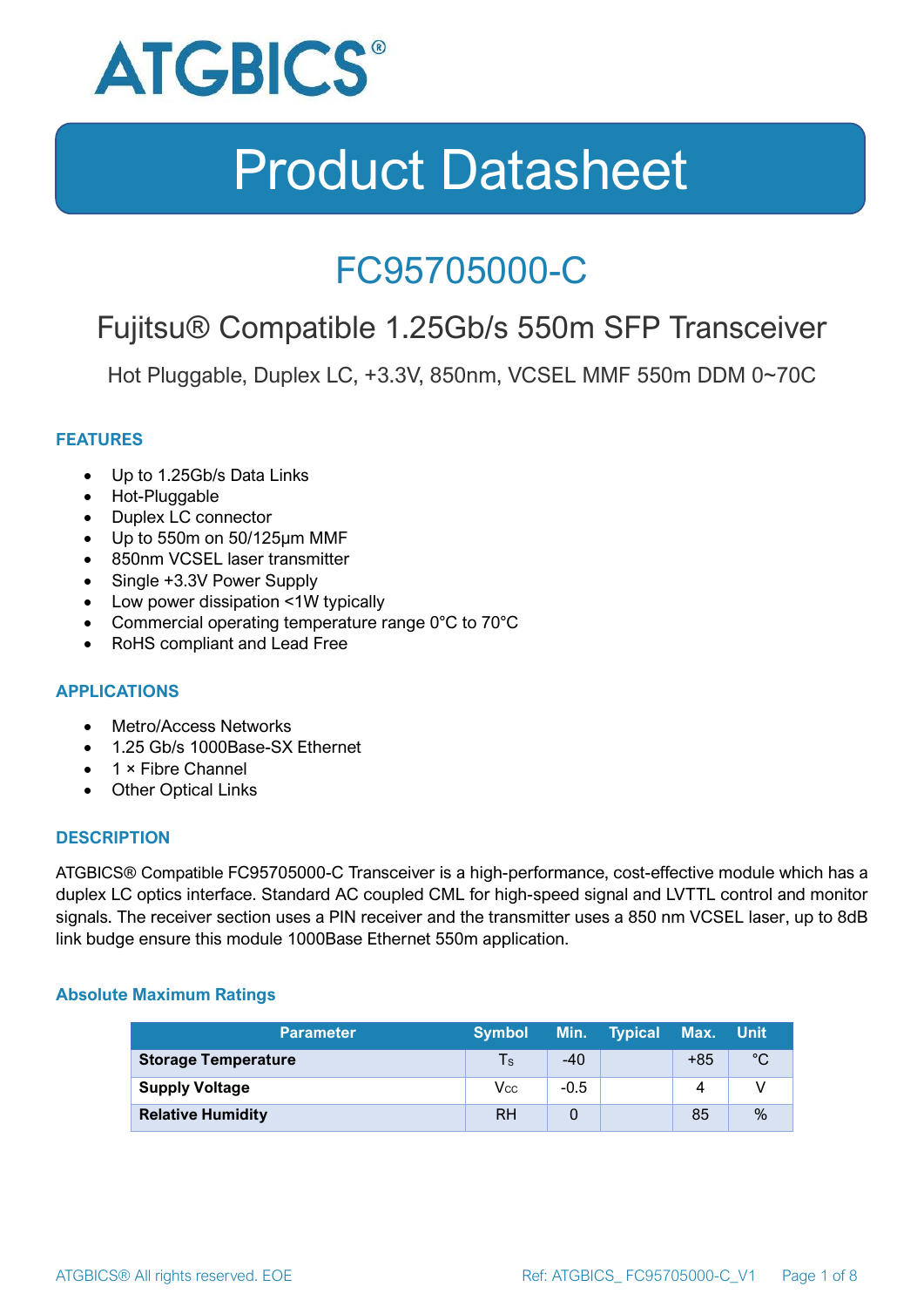

### FC95705000-C

### Fujitsu® Compatible 1.25Gb/s 550m SFP Transceiver

Hot Pluggable, Duplex LC, +3.3V, 850nm, VCSEL MMF 550m DDM 0~70C

#### **FEATURES**

- Up to 1.25Gb/s Data Links
- Hot-Pluggable
- Duplex LC connector
- Up to 550m on 50/125μm MMF
- 850nm VCSEL laser transmitter
- Single +3.3V Power Supply
- Low power dissipation <1W typically
- Commercial operating temperature range 0°C to 70°C
- RoHS compliant and Lead Free

#### **APPLICATIONS**

- Metro/Access Networks
- 1.25 Gb/s 1000Base-SX Ethernet
- 1 × Fibre Channel
- Other Optical Links

#### **DESCRIPTION**

ATGBICS® Compatible FC95705000-C Transceiver is a high-performance, cost-effective module which has a duplex LC optics interface. Standard AC coupled CML for high-speed signal and LVTTL control and monitor signals. The receiver section uses a PIN receiver and the transmitter uses a 850 nm VCSEL laser, up to 8dB link budge ensure this module 1000Base Ethernet 550m application.

#### **Absolute Maximum Ratings**

| <b>Parameter</b>           | <b>Symbol</b> |        | Min. Typical | Max. Unit |      |
|----------------------------|---------------|--------|--------------|-----------|------|
| <b>Storage Temperature</b> | $\mathsf{Ts}$ | $-40$  |              | $+85$     | °C   |
| <b>Supply Voltage</b>      | Vcc           | $-0.5$ |              | 4         |      |
| <b>Relative Humidity</b>   | <b>RH</b>     |        |              | 85        | $\%$ |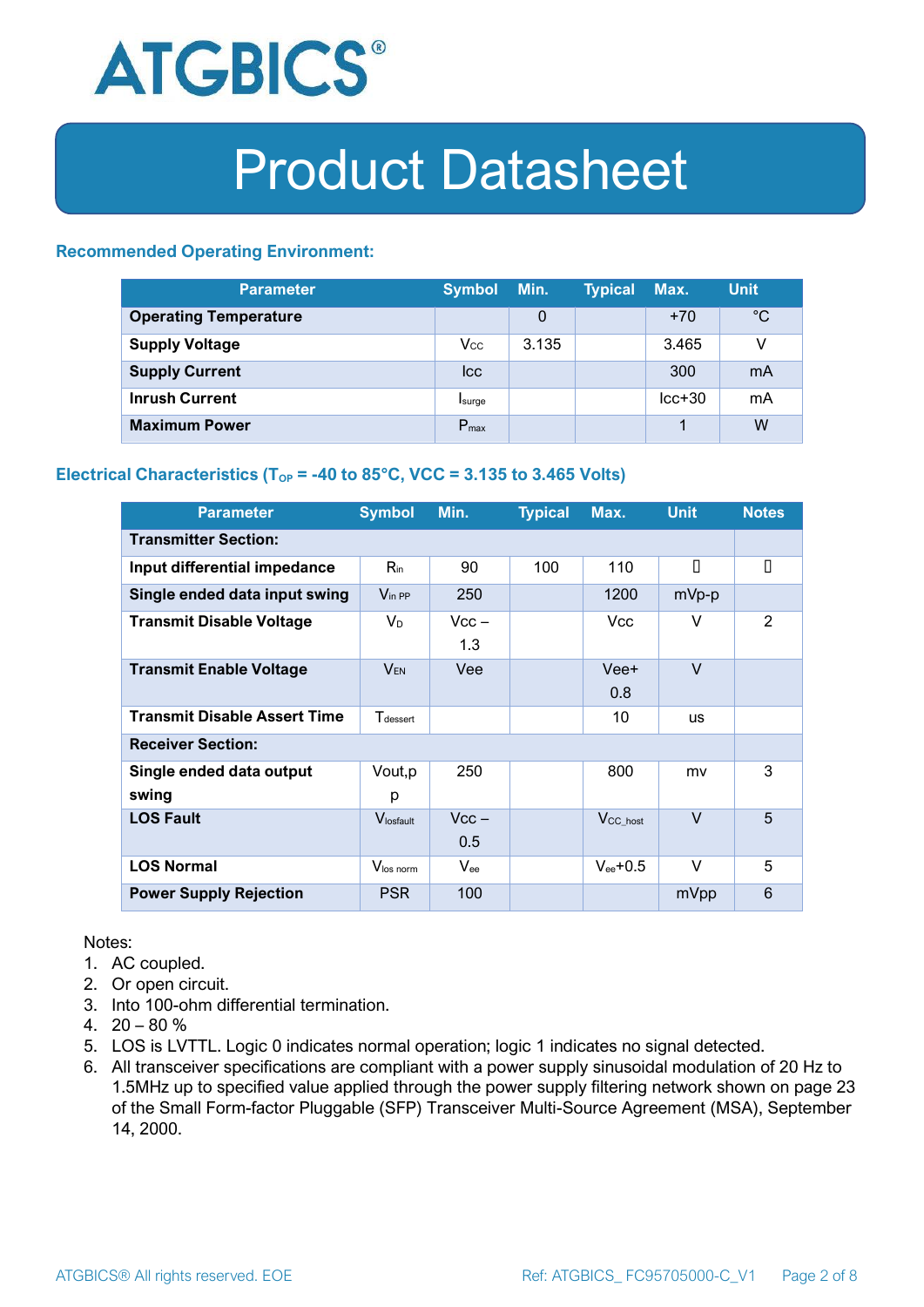

#### **Recommended Operating Environment:**

| <b>Parameter</b>             | <b>Symbol</b>    | Min.  | <b>Typical</b> | Max.     | <b>Unit</b> |
|------------------------------|------------------|-------|----------------|----------|-------------|
| <b>Operating Temperature</b> |                  | 0     |                | $+70$    | $^{\circ}C$ |
| <b>Supply Voltage</b>        | $V_{\rm CC}$     | 3.135 |                | 3.465    | v           |
| <b>Supply Current</b>        | <b>Icc</b>       |       |                | 300      | mA          |
| <b>Inrush Current</b>        | Isurge           |       |                | $lcc+30$ | mA          |
| <b>Maximum Power</b>         | $P_{\text{max}}$ |       |                |          | W           |

#### **Electrical Characteristics** ( $T_{OP}$  = -40 to 85°C, VCC = 3.135 to 3.465 Volts)

| <b>Parameter</b>                    | <b>Symbol</b>         | Min.           | <b>Typical</b> | Max.                 | <b>Unit</b> | <b>Notes</b> |
|-------------------------------------|-----------------------|----------------|----------------|----------------------|-------------|--------------|
| <b>Transmitter Section:</b>         |                       |                |                |                      |             |              |
| Input differential impedance        | $R_{\rm in}$          | 90             | 100            | 110                  | П           | П            |
| Single ended data input swing       | $V_{\text{in PP}}$    | 250            |                | 1200                 | mVp-p       |              |
| <b>Transmit Disable Voltage</b>     | $V_D$                 | $Vcc -$<br>1.3 |                | Vcc.                 | V           | 2            |
| <b>Transmit Enable Voltage</b>      | <b>VEN</b>            | Vee            |                | Vee+<br>0.8          | $\vee$      |              |
| <b>Transmit Disable Assert Time</b> | $T_{\rm dessert}$     |                |                | 10                   | <b>us</b>   |              |
| <b>Receiver Section:</b>            |                       |                |                |                      |             |              |
| Single ended data output<br>swing   | Vout, p<br>р          | 250            |                | 800                  | mv          | 3            |
| <b>LOS Fault</b>                    | $V_{\text{losfault}}$ | $Vcc -$<br>0.5 |                | V <sub>CC_host</sub> | $\vee$      | 5            |
| <b>LOS Normal</b>                   | Vlos norm             | $V_{ee}$       |                | $V_{ee}$ +0.5        | $\vee$      | 5            |
| <b>Power Supply Rejection</b>       | <b>PSR</b>            | 100            |                |                      | mVpp        | 6            |

Notes:

- 1. AC coupled.
- 2. Or open circuit.
- 3. Into 100-ohm differential termination.
- 4.  $20 80 \%$
- 5. LOS is LVTTL. Logic 0 indicates normal operation; logic 1 indicates no signal detected.
- 6. All transceiver specifications are compliant with a power supply sinusoidal modulation of 20 Hz to 1.5MHz up to specified value applied through the power supply filtering network shown on page 23 of the Small Form-factor Pluggable (SFP) Transceiver Multi-Source Agreement (MSA), September 14, 2000.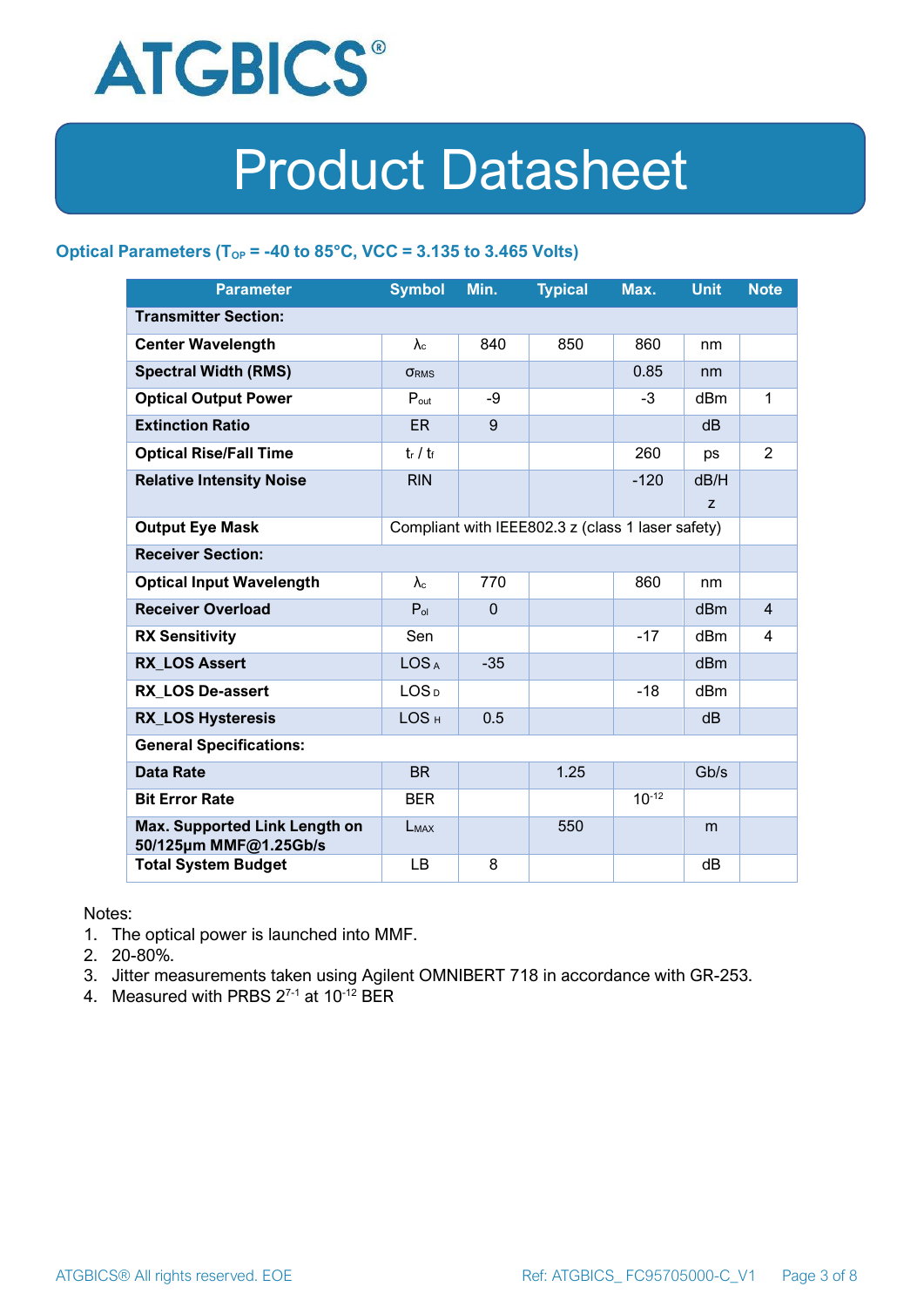

#### **Optical Parameters** ( $T_{OP}$  = -40 to 85°C, VCC = 3.135 to 3.465 Volts)

| <b>Parameter</b>                                                            | <b>Symbol</b>     | Min.         | <b>Typical</b> | Max.       | <b>Unit</b>     | <b>Note</b>    |
|-----------------------------------------------------------------------------|-------------------|--------------|----------------|------------|-----------------|----------------|
| <b>Transmitter Section:</b>                                                 |                   |              |                |            |                 |                |
| <b>Center Wavelength</b>                                                    | $\lambda_c$       | 840          | 850            | 860        | nm              |                |
| <b>Spectral Width (RMS)</b>                                                 | <b>ORMS</b>       |              |                | 0.85       | nm              |                |
| <b>Optical Output Power</b>                                                 | $P_{\text{out}}$  | -9           |                | $-3$       | dBm             | 1              |
| <b>Extinction Ratio</b>                                                     | <b>ER</b>         | 9            |                |            | dB              |                |
| <b>Optical Rise/Fall Time</b>                                               | $t_r / t_f$       |              |                | 260        | ps              | $\overline{2}$ |
| <b>Relative Intensity Noise</b>                                             | <b>RIN</b>        |              |                | $-120$     | dB/H            |                |
|                                                                             |                   |              |                |            | Z               |                |
| <b>Output Eye Mask</b><br>Compliant with IEEE802.3 z (class 1 laser safety) |                   |              |                |            |                 |                |
| <b>Receiver Section:</b>                                                    |                   |              |                |            |                 |                |
| <b>Optical Input Wavelength</b>                                             | $\lambda_{\rm c}$ | 770          |                | 860        | nm              |                |
| <b>Receiver Overload</b>                                                    | $P_{ol}$          | $\mathbf{0}$ |                |            | dBm             | $\overline{4}$ |
| <b>RX Sensitivity</b>                                                       | Sen               |              |                | $-17$      | dBm             | 4              |
| <b>RX LOS Assert</b>                                                        | LOS <sub>A</sub>  | $-35$        |                |            | d <sub>Bm</sub> |                |
| <b>RX LOS De-assert</b>                                                     | LOS <sub>D</sub>  |              |                | $-18$      | dB <sub>m</sub> |                |
| <b>RX_LOS Hysteresis</b>                                                    | LOS <sub>H</sub>  | 0.5          |                |            | d <sub>B</sub>  |                |
| <b>General Specifications:</b>                                              |                   |              |                |            |                 |                |
| <b>Data Rate</b>                                                            | <b>BR</b>         |              | 1.25           |            | Gb/s            |                |
| <b>Bit Error Rate</b>                                                       | <b>BER</b>        |              |                | $10^{-12}$ |                 |                |
| Max. Supported Link Length on<br>50/125µm MMF@1.25Gb/s                      | LMAX              |              | 550            |            | m               |                |
| <b>Total System Budget</b>                                                  | LB                | 8            |                |            | dB              |                |

Notes:

- 1. The optical power is launched into MMF.
- 2. 20-80%.
- 3. Jitter measurements taken using Agilent OMNIBERT 718 in accordance with GR-253.
- 4. Measured with PRBS  $2^{7-1}$  at 10<sup>-12</sup> BER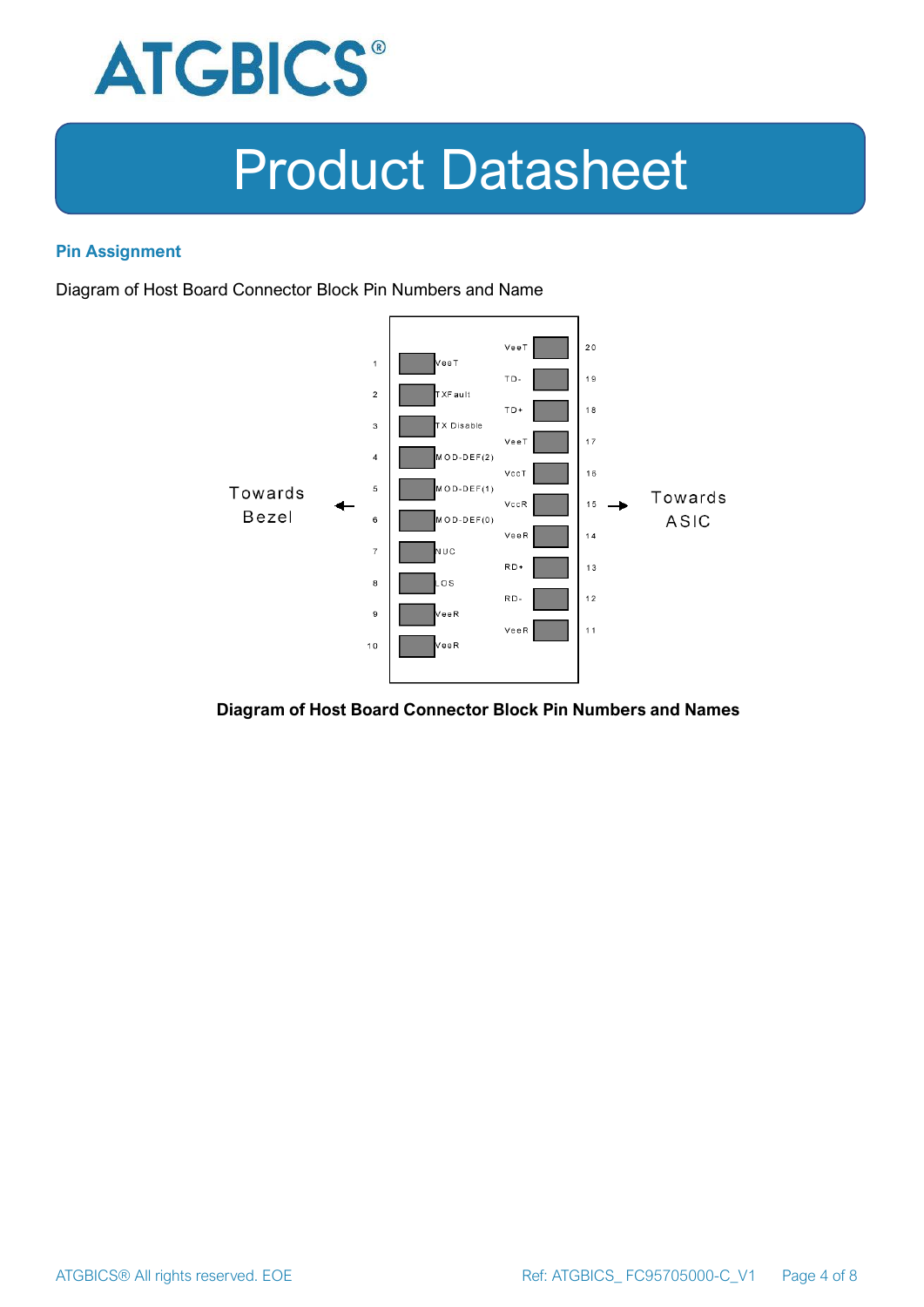

#### **Pin Assignment**

Diagram of Host Board Connector Block Pin Numbers and Name



#### **Diagram of Host Board Connector Block Pin Numbers and Names**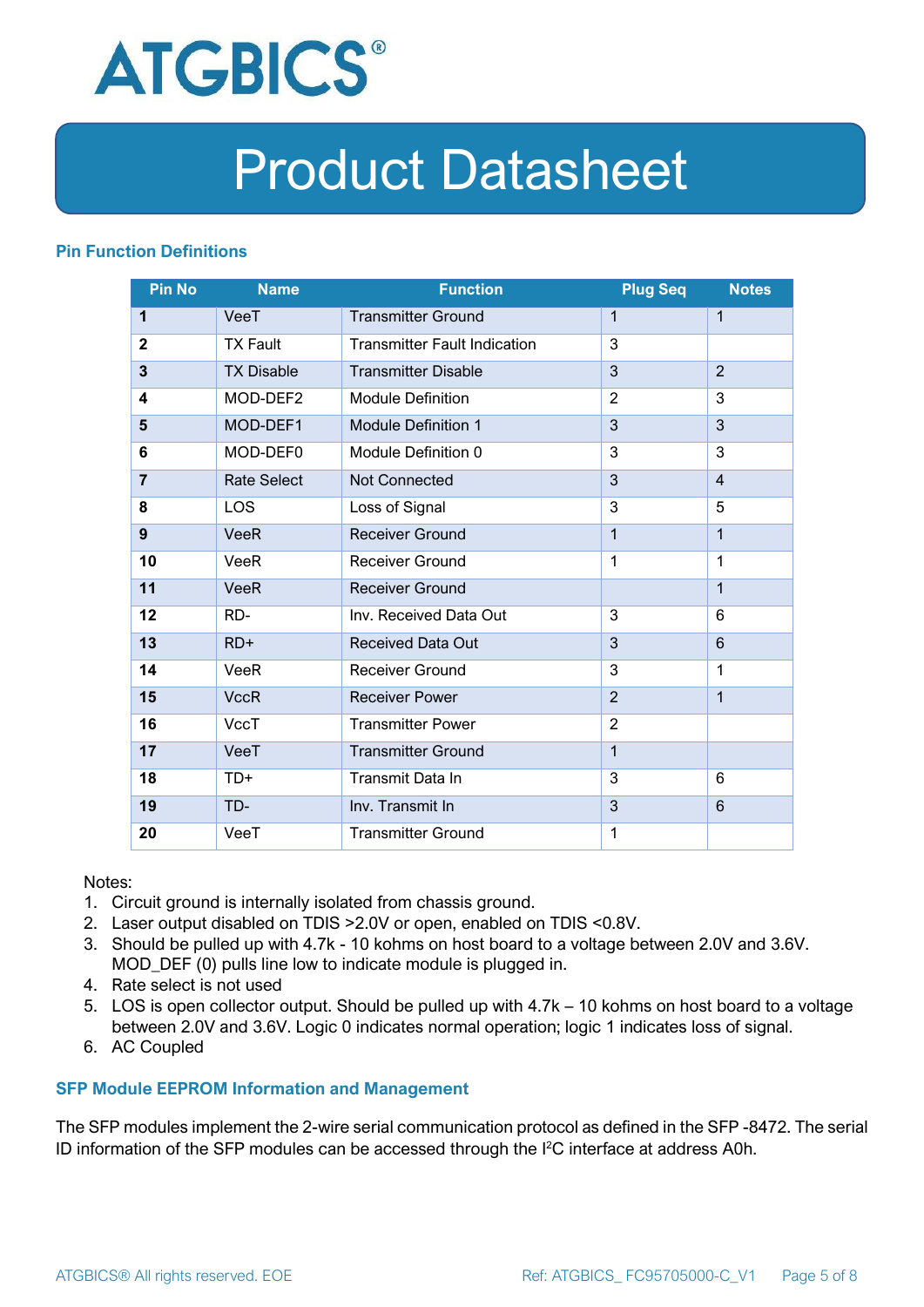

#### **Pin Function Definitions**

| <b>Pin No</b>  | <b>Name</b>        | <b>Function</b>                     | <b>Plug Seq</b> | <b>Notes</b>   |
|----------------|--------------------|-------------------------------------|-----------------|----------------|
| 1              | VeeT               | <b>Transmitter Ground</b>           | 1               | $\mathbf 1$    |
| $\mathbf 2$    | <b>TX Fault</b>    | <b>Transmitter Fault Indication</b> | 3               |                |
| 3              | <b>TX Disable</b>  | <b>Transmitter Disable</b>          | 3               | $\overline{2}$ |
| 4              | MOD-DEF2           | <b>Module Definition</b>            | $\overline{2}$  | 3              |
| 5              | MOD-DEF1           | <b>Module Definition 1</b>          | 3               | 3              |
| 6              | MOD-DEF0           | Module Definition 0                 | 3               | 3              |
| $\overline{7}$ | <b>Rate Select</b> | Not Connected                       | 3               | $\overline{4}$ |
| 8              | <b>LOS</b>         | Loss of Signal                      | 3               | 5              |
| 9              | <b>VeeR</b>        | <b>Receiver Ground</b>              | $\mathbf 1$     | $\mathbf{1}$   |
| 10             | VeeR               | Receiver Ground                     | $\mathbf{1}$    | $\mathbf 1$    |
| 11             | <b>VeeR</b>        | <b>Receiver Ground</b>              |                 | $\mathbf{1}$   |
| 12             | RD-                | Inv. Received Data Out              | 3               | 6              |
| 13             | $RD+$              | <b>Received Data Out</b>            | 3               | 6              |
| 14             | VeeR               | <b>Receiver Ground</b>              | 3               | 1              |
| 15             | <b>VccR</b>        | <b>Receiver Power</b>               | $\overline{2}$  | $\mathbf{1}$   |
| 16             | <b>VccT</b>        | <b>Transmitter Power</b>            | $\overline{2}$  |                |
| 17             | VeeT               | <b>Transmitter Ground</b>           | $\mathbf{1}$    |                |
| 18             | TD+                | Transmit Data In                    | 3               | 6              |
| 19             | TD-                | Inv. Transmit In                    | 3               | 6              |
| 20             | VeeT               | <b>Transmitter Ground</b>           | 1               |                |

Notes:

- 1. Circuit ground is internally isolated from chassis ground.
- 2. Laser output disabled on TDIS >2.0V or open, enabled on TDIS <0.8V.
- 3. Should be pulled up with 4.7k 10 kohms on host board to a voltage between 2.0V and 3.6V. MOD\_DEF (0) pulls line low to indicate module is plugged in.
- 4. Rate select is not used
- 5. LOS is open collector output. Should be pulled up with 4.7k 10 kohms on host board to a voltage between 2.0V and 3.6V. Logic 0 indicates normal operation; logic 1 indicates loss of signal.
- 6. AC Coupled

#### **SFP Module EEPROM Information and Management**

The SFP modules implement the 2-wire serial communication protocol as defined in the SFP -8472. The serial ID information of the SFP modules can be accessed through the I2C interface at address A0h.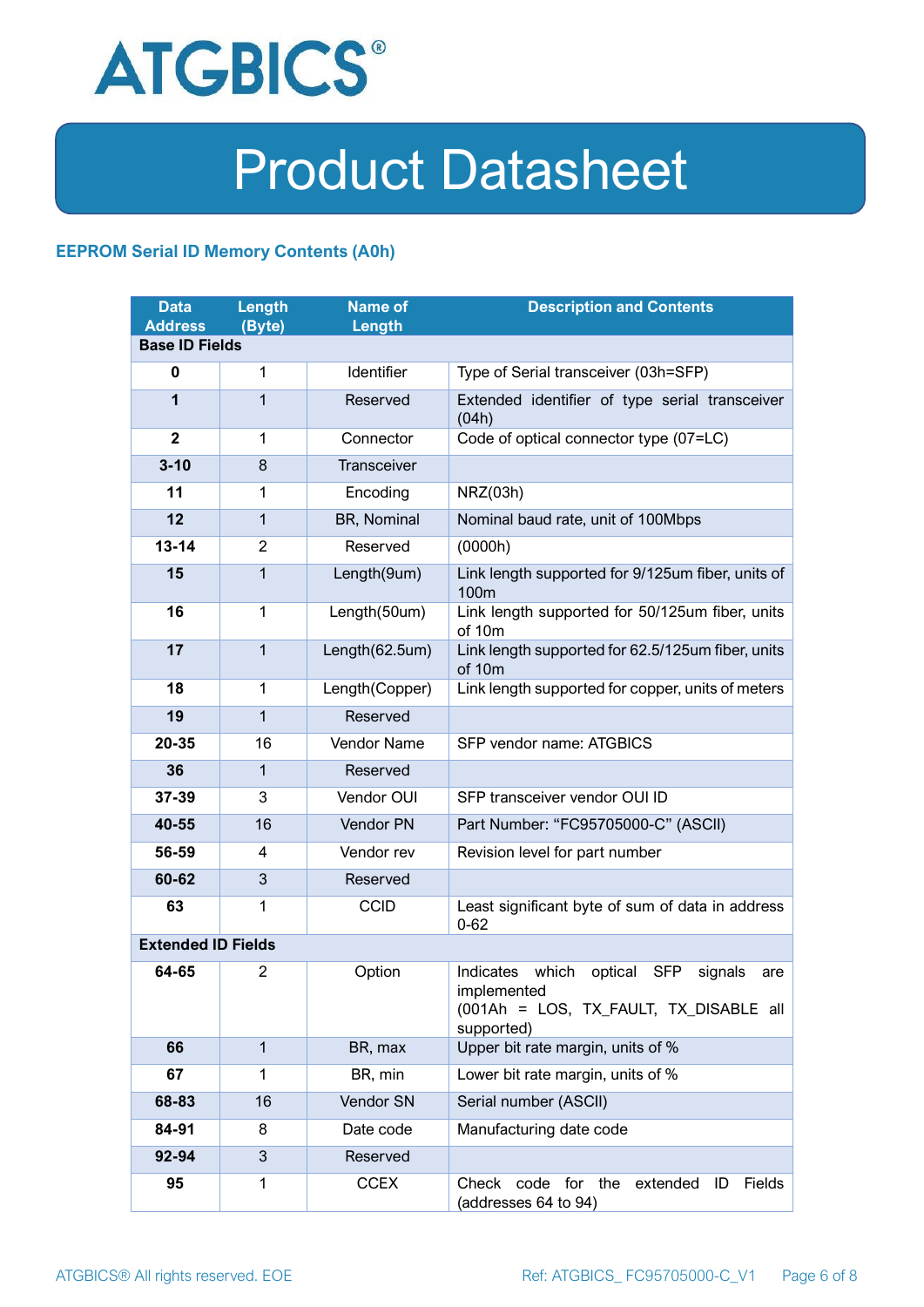

#### **EEPROM Serial ID Memory Contents (A0h)**

| <b>Data</b><br><b>Address</b> | <b>Length</b><br>(Byte) | <b>Name of</b><br>Length | <b>Description and Contents</b>                                                                                            |  |
|-------------------------------|-------------------------|--------------------------|----------------------------------------------------------------------------------------------------------------------------|--|
| <b>Base ID Fields</b>         |                         |                          |                                                                                                                            |  |
| $\mathbf 0$                   | 1                       | Identifier               | Type of Serial transceiver (03h=SFP)                                                                                       |  |
| 1                             | 1                       | Reserved                 | Extended identifier of type serial transceiver<br>(04h)                                                                    |  |
| $\overline{2}$                | 1                       | Connector                | Code of optical connector type (07=LC)                                                                                     |  |
| $3 - 10$                      | 8                       | <b>Transceiver</b>       |                                                                                                                            |  |
| 11                            | 1                       | Encoding                 | NRZ(03h)                                                                                                                   |  |
| 12                            | $\mathbf{1}$            | BR, Nominal              | Nominal baud rate, unit of 100Mbps                                                                                         |  |
| $13 - 14$                     | $\overline{2}$          | Reserved                 | (0000h)                                                                                                                    |  |
| 15                            | $\mathbf{1}$            | Length(9um)              | Link length supported for 9/125um fiber, units of<br>100 <sub>m</sub>                                                      |  |
| 16                            | 1                       | Length(50um)             | Link length supported for 50/125um fiber, units<br>of 10m                                                                  |  |
| 17                            | $\mathbf{1}$            | Length(62.5um)           | Link length supported for 62.5/125um fiber, units<br>of 10m                                                                |  |
| 18                            | 1                       | Length(Copper)           | Link length supported for copper, units of meters                                                                          |  |
| 19                            | $\mathbf{1}$            | Reserved                 |                                                                                                                            |  |
| 20-35                         | 16                      | Vendor Name              | SFP vendor name: ATGBICS                                                                                                   |  |
| 36                            | 1                       | Reserved                 |                                                                                                                            |  |
| 37-39                         | 3                       | Vendor OUI               | SFP transceiver vendor OUI ID                                                                                              |  |
| 40-55                         | 16                      | Vendor PN                | Part Number: "FC95705000-C" (ASCII)                                                                                        |  |
| 56-59                         | 4                       | Vendor rev               | Revision level for part number                                                                                             |  |
| 60-62                         | 3                       | Reserved                 |                                                                                                                            |  |
| 63                            | 1                       | <b>CCID</b>              | Least significant byte of sum of data in address<br>$0 - 62$                                                               |  |
| <b>Extended ID Fields</b>     |                         |                          |                                                                                                                            |  |
| 64-65                         | 2                       | Option                   | Indicates which<br>optical<br>SFP<br>signals<br>are<br>implemented<br>(001Ah = LOS, TX_FAULT, TX_DISABLE all<br>supported) |  |
| 66                            | $\mathbf{1}$            | BR, max                  | Upper bit rate margin, units of %                                                                                          |  |
| 67                            | 1                       | BR, min                  | Lower bit rate margin, units of %                                                                                          |  |
| 68-83                         | 16                      | Vendor SN                | Serial number (ASCII)                                                                                                      |  |
| 84-91                         | 8                       | Date code                | Manufacturing date code                                                                                                    |  |
| 92-94                         | 3                       | Reserved                 |                                                                                                                            |  |
| 95                            | 1                       | <b>CCEX</b>              | Check code for the<br>Fields<br>extended<br>ID<br>(addresses 64 to 94)                                                     |  |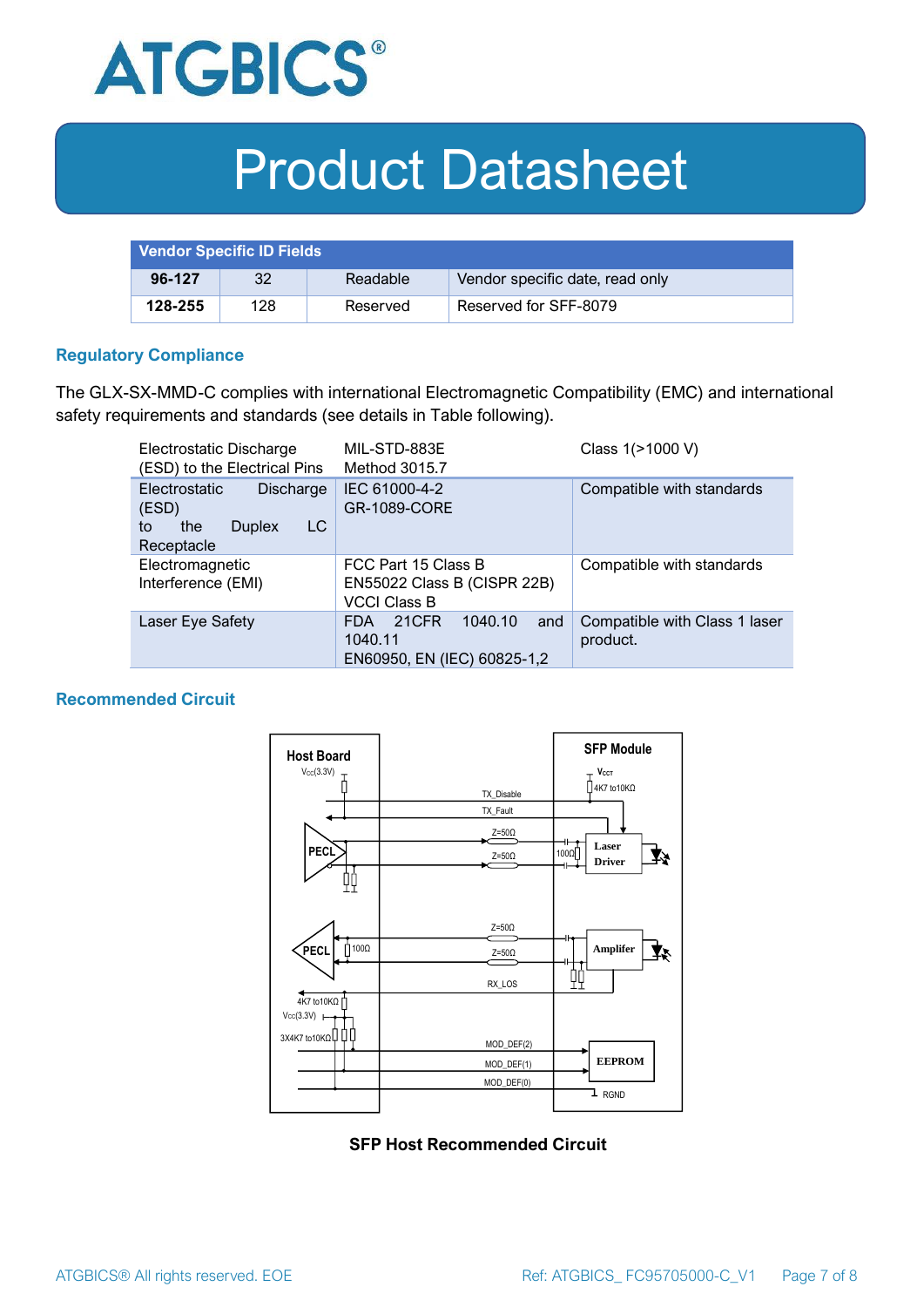

| <b>Vendor Specific ID Fields</b> |     |          |                                 |
|----------------------------------|-----|----------|---------------------------------|
| 96-127                           | 32  | Readable | Vendor specific date, read only |
| 128-255                          | 128 | Reserved | Reserved for SFF-8079           |

#### **Regulatory Compliance**

The GLX-SX-MMD-C complies with international Electromagnetic Compatibility (EMC) and international safety requirements and standards (see details in Table following).

| Electrostatic Discharge<br>(ESD) to the Electrical Pins                                      | MIL-STD-883E<br>Method 3015.7                                                   | Class 1(>1000 V)                          |
|----------------------------------------------------------------------------------------------|---------------------------------------------------------------------------------|-------------------------------------------|
| Electrostatic<br><b>Discharge</b><br>(ESD)<br>LC<br>the<br><b>Duplex</b><br>to<br>Receptacle | IEC 61000-4-2<br><b>GR-1089-CORE</b>                                            | Compatible with standards                 |
| Electromagnetic<br>Interference (EMI)                                                        | FCC Part 15 Class B<br>EN55022 Class B (CISPR 22B)<br><b>VCCI Class B</b>       | Compatible with standards                 |
| Laser Eye Safety                                                                             | 1040.10<br>21CFR<br>and<br><b>FDA</b><br>1040.11<br>EN60950, EN (IEC) 60825-1,2 | Compatible with Class 1 laser<br>product. |

#### **Recommended Circuit**



**SFP Host Recommended Circuit**